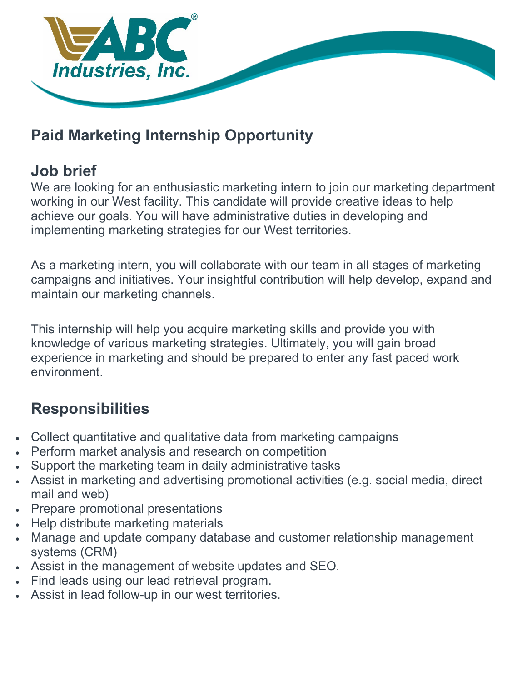

#### **Paid Marketing Internship Opportunity**

#### **Job brief**

We are looking for an enthusiastic marketing intern to join our marketing department working in our West facility. This candidate will provide creative ideas to help achieve our goals. You will have administrative duties in developing and implementing marketing strategies for our West territories.

As a marketing intern, you will collaborate with our team in all stages of marketing campaigns and initiatives. Your insightful contribution will help develop, expand and maintain our marketing channels.

This internship will help you acquire marketing skills and provide you with knowledge of various marketing strategies. Ultimately, you will gain broad experience in marketing and should be prepared to enter any fast paced work environment.

# **Responsibilities**

- Collect quantitative and qualitative data from marketing campaigns
- Perform market analysis and research on competition
- Support the marketing team in daily administrative tasks
- Assist in marketing and advertising promotional activities (e.g. social media, direct mail and web)
- Prepare promotional presentations
- Help distribute marketing materials
- Manage and update company database and customer relationship management systems (CRM)
- Assist in the management of website updates and SEO.
- Find leads using our lead retrieval program.
- Assist in lead follow-up in our west territories.